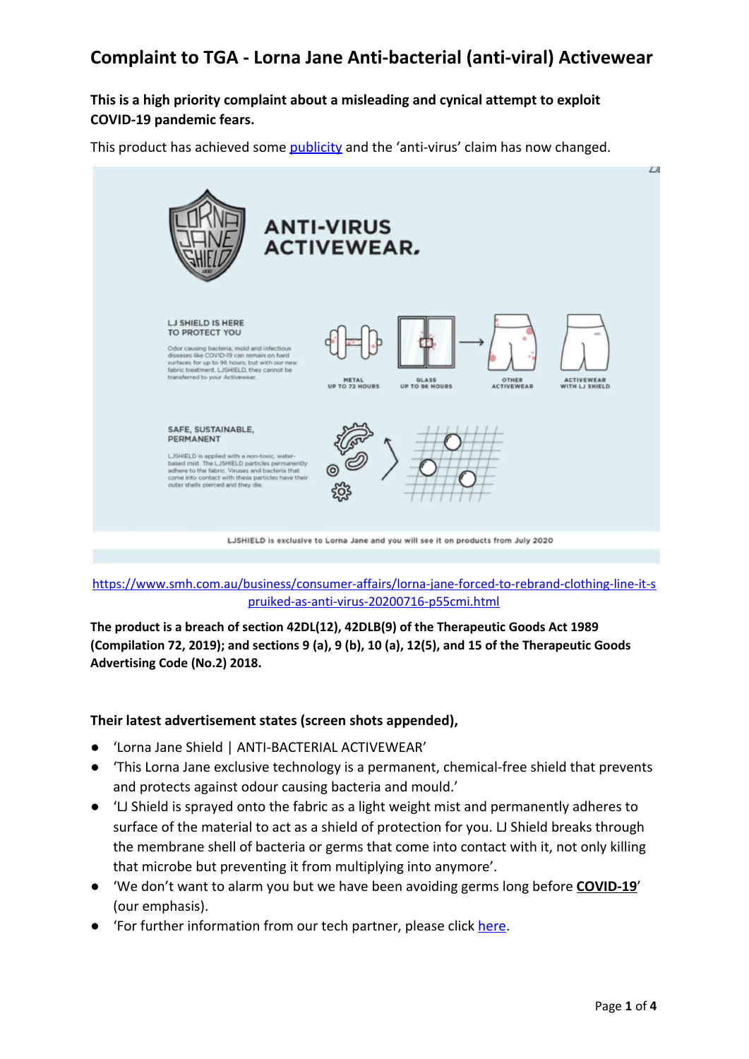### **This is a high priority complaint about a misleading and cynical attempt to exploit COVID-19 pandemic fears.**

This product has achieved some [publicity](https://www.smh.com.au/business/consumer-affairs/lorna-jane-forced-to-rebrand-clothing-line-it-spruiked-as-anti-virus-20200716-p55cmi.html) and the 'anti-virus' claim has now changed.



#### [https://www.smh.com.au/business/consumer-affairs/lorna-jane-forced-to-rebrand-clothing-line-it-s](https://www.smh.com.au/business/consumer-affairs/lorna-jane-forced-to-rebrand-clothing-line-it-spruiked-as-anti-virus-20200716-p55cmi.html) [pruiked-as-anti-virus-20200716-p55cmi.html](https://www.smh.com.au/business/consumer-affairs/lorna-jane-forced-to-rebrand-clothing-line-it-spruiked-as-anti-virus-20200716-p55cmi.html)

**The product is a breach of section 42DL(12), 42DLB(9) of the Therapeutic Goods Act 1989 (Compilation 72, 2019); and sections 9 (a), 9 (b), 10 (a), 12(5), and 15 of the Therapeutic Goods Advertising Code (No.2) 2018.**

#### **Their latest advertisement states (screen shots appended),**

- 'Lorna Jane Shield | ANTI-BACTERIAL ACTIVEWEAR'
- This Lorna Jane exclusive technology is a permanent, chemical-free shield that prevents and protects against odour causing bacteria and mould.'
- 'LJ Shield is sprayed onto the fabric as a light weight mist and permanently adheres to surface of the material to act as a shield of protection for you. LJ Shield breaks through the membrane shell of bacteria or germs that come into contact with it, not only killing that microbe but preventing it from multiplying into anymore'.
- 'We don't want to alarm you but we have been avoiding germs long before **COVID-19**' (our emphasis).
- 'For further information from our tech partner, please click [here](http://fuzebiotech.com/).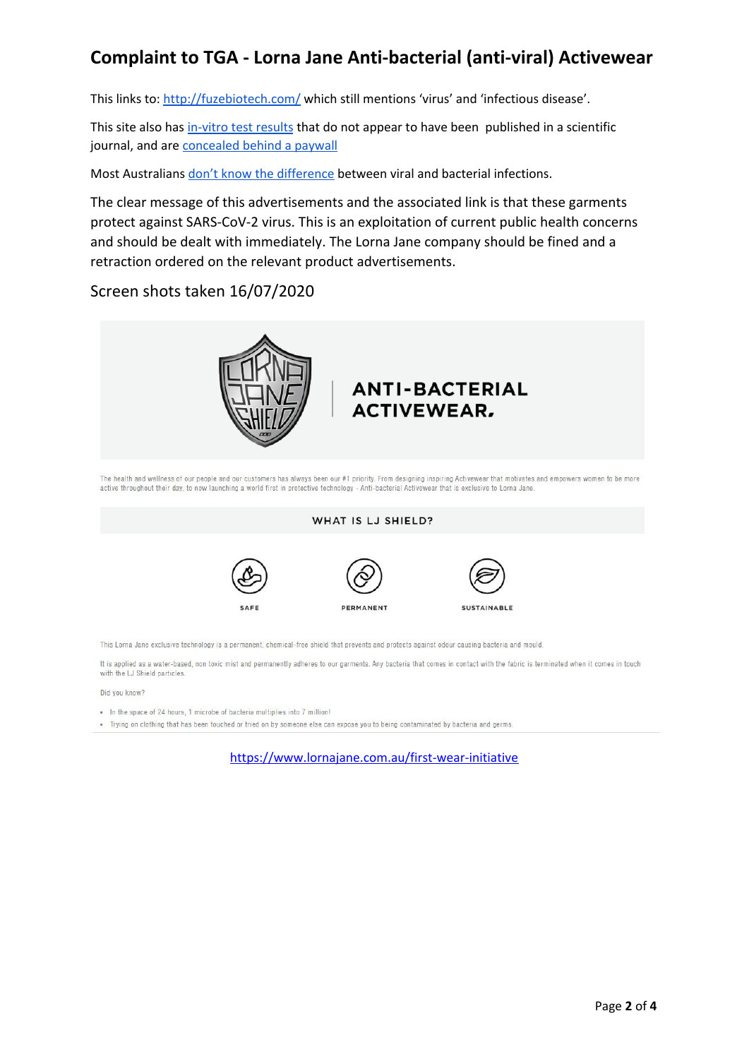This links to: <http://fuzebiotech.com/> which still mentions 'virus' and 'infectious disease'.

This site also has [in-vitro](http://fuzebiotech.com/testing/) test results that do not appear to have been published in a scientific journal, and are [concealed](https://www.astm.org/Standards/E2149.htm) behind a paywall

Most Australians don't know the [difference](https://theconversation.com/deeply-worrying-92-of-australians-dont-know-the-difference-between-viral-and-bacterial-infections-138619) between viral and bacterial infections.

The clear message of this advertisements and the associated link is that these garments protect against SARS-CoV-2 virus. This is an exploitation of current public health concerns and should be dealt with immediately. The Lorna Jane company should be fined and a retraction ordered on the relevant product advertisements.

Screen shots taken 16/07/2020



The health and wellness of our people and our customers has always been our #1 priority. From designing inspiring Activewear that motivates and empowers women to be more active throughout their day, to now launching a world first in protective technology - Anti-bacterial Activewear that is exclusive to Lorna Jane

#### WHAT IS LJ SHIELD?







This Lorna Jane exclusive technology is a permanent, chemical-free shield that prevents and protects against odour causing bacteria and mould.

It is applied as a water-based, non toxic mist and permanently adheres to our garments. Any bacteria that comes in contact with the fabric is terminated when it comes in touch with the LJ Shield particles.

Did you know?

• In the space of 24 hours, 1 microbe of bacteria multiplies into 7 million!

. Trying on clothing that has been touched or tried on by someone else can expose you to being contaminated by bacteria and germs.

<https://www.lornajane.com.au/first-wear-initiative>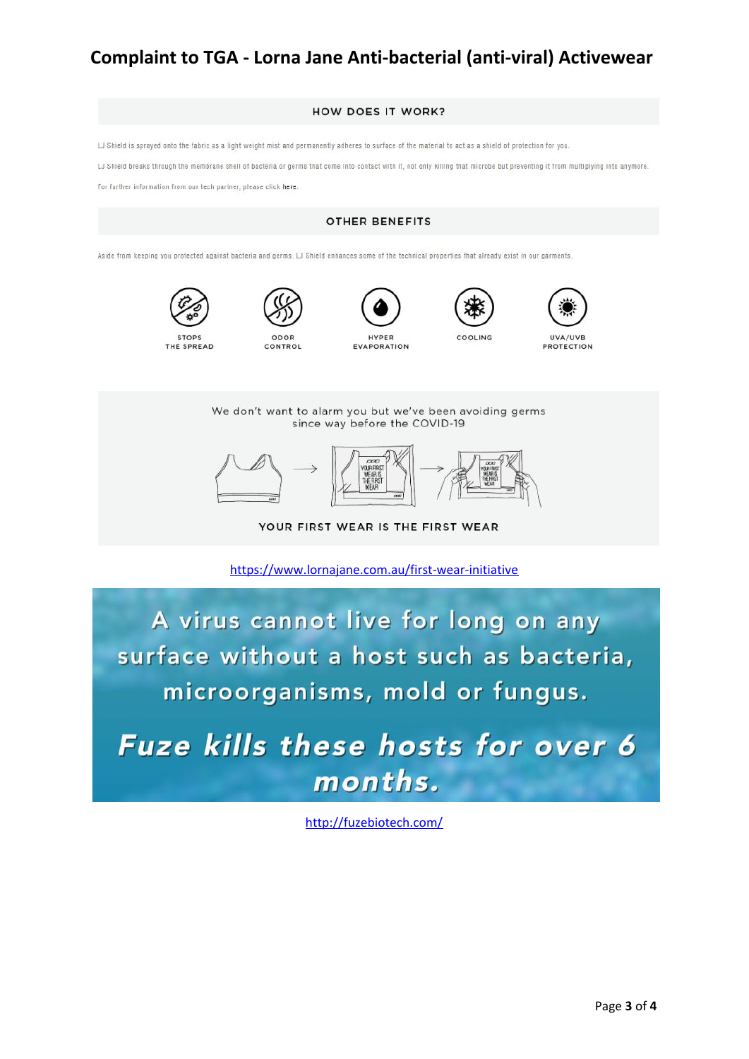

<https://www.lornajane.com.au/first-wear-initiative>

A virus cannot live for long on any surface without a host such as bacteria, microorganisms, mold or fungus.

**Fuze kills these hosts for over 6** months.

<http://fuzebiotech.com/>